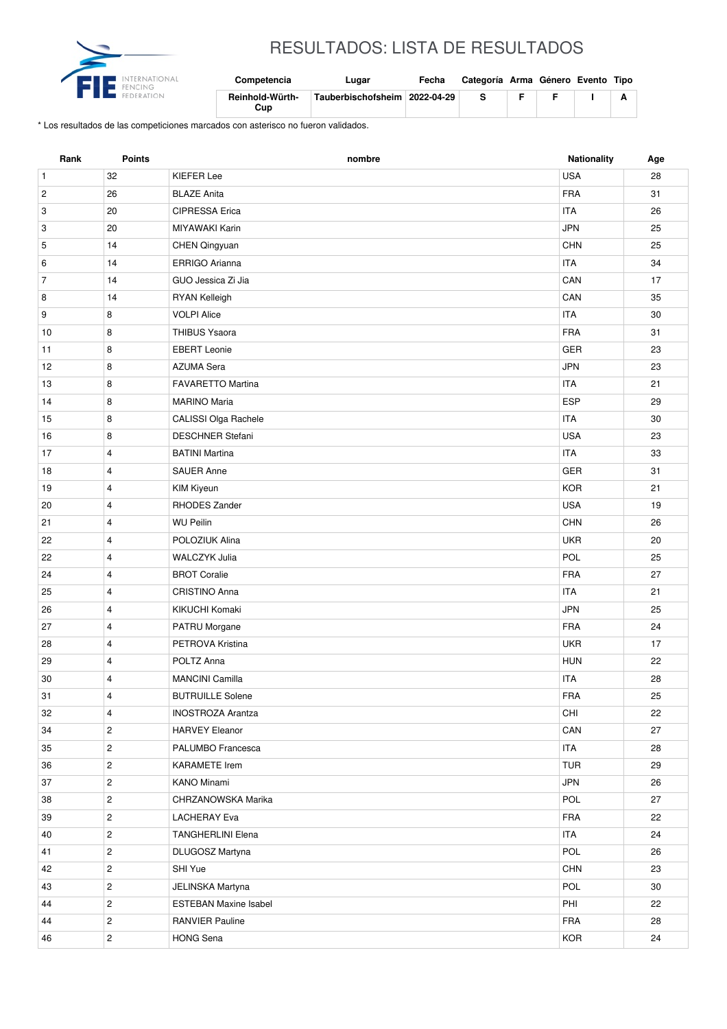

## RESULTADOS: LISTA DE RESULTADOS

| Competencia            | ∟uqar                           | Fecha | Categoría Arma Género Evento Tipo |  |  |
|------------------------|---------------------------------|-------|-----------------------------------|--|--|
| Reinhold-Würth-<br>Cup | Tauberbischofsheim   2022-04-29 |       |                                   |  |  |

\* Los resultados de las competiciones marcados con asterisco no fueron validados.

| Rank           | <b>Points</b>           | nombre                       | Nationality | Age |
|----------------|-------------------------|------------------------------|-------------|-----|
| $\mathbf{1}$   | 32                      | <b>KIEFER Lee</b>            | <b>USA</b>  | 28  |
| $\overline{c}$ | 26                      | <b>BLAZE Anita</b>           | <b>FRA</b>  | 31  |
| 3              | 20                      | CIPRESSA Erica               | <b>ITA</b>  | 26  |
| 3              | 20                      | MIYAWAKI Karin               | <b>JPN</b>  | 25  |
| 5              | 14                      | CHEN Qingyuan                | <b>CHN</b>  | 25  |
| 6              | 14                      | ERRIGO Arianna               | <b>ITA</b>  | 34  |
| $\overline{7}$ | 14                      | GUO Jessica Zi Jia           | CAN         | 17  |
| 8              | 14                      | RYAN Kelleigh                | CAN         | 35  |
| 9              | 8                       | <b>VOLPI Alice</b>           | <b>ITA</b>  | 30  |
| 10             | 8                       | <b>THIBUS Ysaora</b>         | <b>FRA</b>  | 31  |
| 11             | 8                       | <b>EBERT Leonie</b>          | <b>GER</b>  | 23  |
| 12             | 8                       | <b>AZUMA Sera</b>            | <b>JPN</b>  | 23  |
| 13             | 8                       | <b>FAVARETTO Martina</b>     | <b>ITA</b>  | 21  |
| 14             | 8                       | <b>MARINO Maria</b>          | <b>ESP</b>  | 29  |
| 15             | 8                       | CALISSI Olga Rachele         | <b>ITA</b>  | 30  |
| 16             | 8                       | <b>DESCHNER Stefani</b>      | <b>USA</b>  | 23  |
| 17             | 4                       | <b>BATINI Martina</b>        | <b>ITA</b>  | 33  |
| 18             | $\overline{4}$          | <b>SAUER Anne</b>            | <b>GER</b>  | 31  |
| 19             | 4                       | <b>KIM Kiyeun</b>            | <b>KOR</b>  | 21  |
| 20             | $\overline{4}$          | RHODES Zander                | <b>USA</b>  | 19  |
| 21             | $\overline{4}$          | <b>WU Peilin</b>             | <b>CHN</b>  | 26  |
| 22             | 4                       | POLOZIUK Alina               | <b>UKR</b>  | 20  |
| 22             | $\overline{4}$          | <b>WALCZYK Julia</b>         | POL         | 25  |
| 24             | $\overline{4}$          | <b>BROT Coralie</b>          | <b>FRA</b>  | 27  |
| 25             | $\overline{4}$          | CRISTINO Anna                | <b>ITA</b>  | 21  |
| 26             | $\overline{4}$          | KIKUCHI Komaki               | <b>JPN</b>  | 25  |
| 27             | 4                       | PATRU Morgane                | <b>FRA</b>  | 24  |
| 28             | 4                       | PETROVA Kristina             | <b>UKR</b>  | 17  |
| 29             | $\overline{4}$          | POLTZ Anna                   | <b>HUN</b>  | 22  |
| 30             | 4                       | <b>MANCINI Camilla</b>       | <b>ITA</b>  | 28  |
| 31             | 4                       | <b>BUTRUILLE Solene</b>      | ${\sf FRA}$ | 25  |
| 32             | 4                       | <b>INOSTROZA Arantza</b>     | CHI         | 22  |
| 34             | $\overline{c}$          | <b>HARVEY Eleanor</b>        | CAN         | 27  |
| 35             | $\mathbf{2}$            | PALUMBO Francesca            | <b>ITA</b>  | 28  |
| 36             | $\overline{c}$          | <b>KARAMETE Irem</b>         | TUR         | 29  |
| 37             | $\overline{2}$          | KANO Minami                  | <b>JPN</b>  | 26  |
| 38             | $\mathbf{2}$            | CHRZANOWSKA Marika           | POL         | 27  |
| 39             | $\overline{c}$          | LACHERAY Eva                 | <b>FRA</b>  | 22  |
| 40             | $\overline{c}$          | <b>TANGHERLINI Elena</b>     | ITA         | 24  |
| 41             | $\overline{c}$          | DLUGOSZ Martyna              | POL         | 26  |
| 42             | $\overline{c}$          | SHI Yue                      | CHN         | 23  |
| 43             | $\overline{c}$          | JELINSKA Martyna             | POL         | 30  |
| 44             | $\mathbf{2}$            | <b>ESTEBAN Maxine Isabel</b> | PHI         | 22  |
| 44             | $\mathbf{2}$            | <b>RANVIER Pauline</b>       | <b>FRA</b>  | 28  |
| 46             | $\overline{\mathbf{c}}$ | <b>HONG Sena</b>             | <b>KOR</b>  | 24  |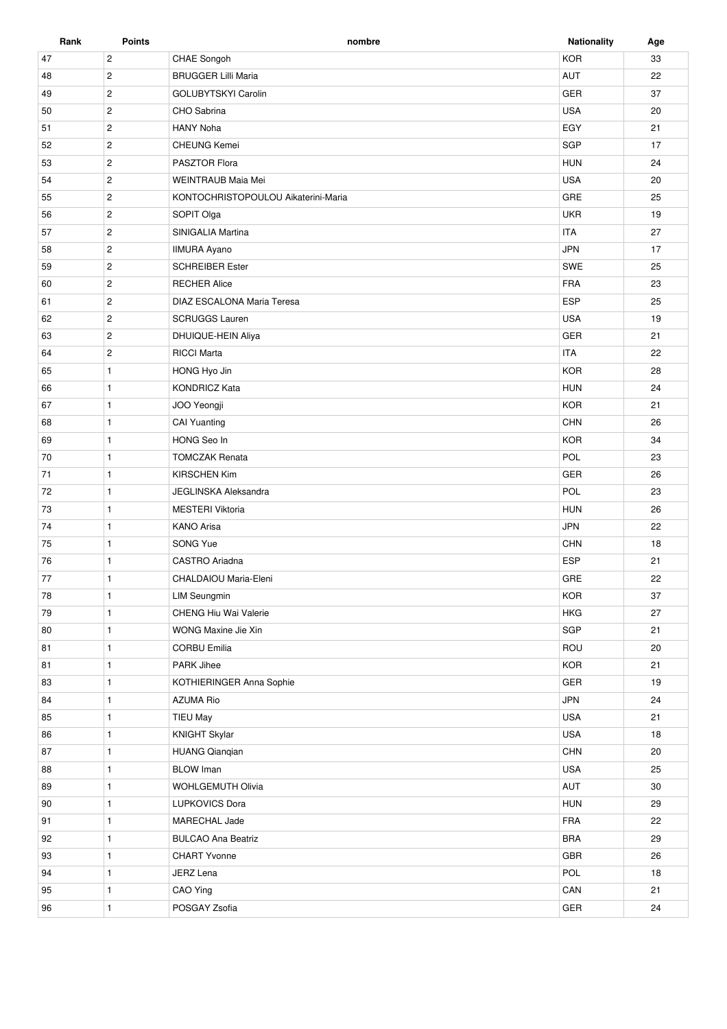| Rank | <b>Points</b>  | nombre                              | <b>Nationality</b> | Age |
|------|----------------|-------------------------------------|--------------------|-----|
| 47   | $\sqrt{2}$     | CHAE Songoh                         | <b>KOR</b>         | 33  |
| 48   | $\overline{2}$ | <b>BRUGGER Lilli Maria</b>          | AUT                | 22  |
| 49   | $\overline{2}$ | GOLUBYTSKYI Carolin                 | <b>GER</b>         | 37  |
| 50   | $\mathbf{2}$   | CHO Sabrina                         | <b>USA</b>         | 20  |
| 51   | $\overline{c}$ | <b>HANY Noha</b>                    | EGY                | 21  |
| 52   | $\mathbf{2}$   | <b>CHEUNG Kemei</b>                 | SGP                | 17  |
| 53   | $\overline{c}$ | PASZTOR Flora                       | <b>HUN</b>         | 24  |
| 54   | $\overline{c}$ | WEINTRAUB Maia Mei                  | <b>USA</b>         | 20  |
| 55   | $\mathbf{2}$   | KONTOCHRISTOPOULOU Aikaterini-Maria | GRE                | 25  |
| 56   | $\overline{c}$ | SOPIT Olga                          | <b>UKR</b>         | 19  |
| 57   | $\overline{c}$ | SINIGALIA Martina                   | <b>ITA</b>         | 27  |
| 58   | $\sqrt{2}$     | <b>IIMURA Ayano</b>                 | <b>JPN</b>         | 17  |
| 59   | $\mathbf{2}$   | <b>SCHREIBER Ester</b>              | SWE                | 25  |
| 60   | $\overline{2}$ | <b>RECHER Alice</b>                 | <b>FRA</b>         | 23  |
| 61   | $\overline{c}$ | DIAZ ESCALONA Maria Teresa          | <b>ESP</b>         | 25  |
| 62   | $\mathbf{2}$   | <b>SCRUGGS Lauren</b>               | <b>USA</b>         | 19  |
|      |                |                                     |                    |     |
| 63   | $\mathbf{2}$   | DHUIQUE-HEIN Aliya                  | GER                | 21  |
| 64   | $\mathbf{2}$   | <b>RICCI Marta</b>                  | <b>ITA</b>         | 22  |
| 65   | $\mathbf{1}$   | HONG Hyo Jin                        | <b>KOR</b>         | 28  |
| 66   | $\mathbf{1}$   | <b>KONDRICZ Kata</b>                | <b>HUN</b>         | 24  |
| 67   | $\mathbf{1}$   | JOO Yeongji                         | <b>KOR</b>         | 21  |
| 68   | $\mathbf{1}$   | <b>CAI Yuanting</b>                 | CHN                | 26  |
| 69   | $\mathbf{1}$   | HONG Seo In                         | <b>KOR</b>         | 34  |
| 70   | $\mathbf{1}$   | <b>TOMCZAK Renata</b>               | POL                | 23  |
| 71   | $\mathbf{1}$   | <b>KIRSCHEN Kim</b>                 | <b>GER</b>         | 26  |
| 72   | $\mathbf{1}$   | <b>JEGLINSKA Aleksandra</b>         | <b>POL</b>         | 23  |
| 73   | $\mathbf{1}$   | <b>MESTERI Viktoria</b>             | <b>HUN</b>         | 26  |
| 74   | $\mathbf{1}$   | <b>KANO Arisa</b>                   | <b>JPN</b>         | 22  |
| 75   | $\mathbf{1}$   | SONG Yue                            | <b>CHN</b>         | 18  |
| 76   | $\mathbf{1}$   | CASTRO Ariadna                      | <b>ESP</b>         | 21  |
| 77   | $\mathbf{1}$   | CHALDAIOU Maria-Eleni               | GRE                | 22  |
| 78   | $\mathbf{1}$   | <b>LIM Seungmin</b>                 | <b>KOR</b>         | 37  |
| 79   | $\mathbf{1}$   | CHENG Hiu Wai Valerie               | <b>HKG</b>         | 27  |
| 80   | $\mathbf{1}$   | WONG Maxine Jie Xin                 | SGP                | 21  |
| 81   | $\mathbf{1}$   | <b>CORBU Emilia</b>                 | ROU                | 20  |
| 81   | $\mathbf{1}$   | PARK Jihee                          | <b>KOR</b>         | 21  |
| 83   | $\mathbf{1}$   | KOTHIERINGER Anna Sophie            | <b>GER</b>         | 19  |
| 84   | $\mathbf{1}$   | <b>AZUMA Rio</b>                    | <b>JPN</b>         | 24  |
| 85   | $\mathbf{1}$   | TIEU May                            | <b>USA</b>         | 21  |
| 86   | $\mathbf{1}$   | <b>KNIGHT Skylar</b>                | USA                | 18  |
| 87   | $\mathbf{1}$   | <b>HUANG Qianqian</b>               | CHN                | 20  |
| 88   | $\mathbf{1}$   | <b>BLOW</b> Iman                    | <b>USA</b>         | 25  |
| 89   | $\mathbf{1}$   | WOHLGEMUTH Olivia                   | AUT                | 30  |
| 90   | $\mathbf{1}$   | <b>LUPKOVICS Dora</b>               | <b>HUN</b>         | 29  |
| 91   | $\mathbf{1}$   | MARECHAL Jade                       | FRA                | 22  |
| 92   | $\mathbf{1}$   | <b>BULCAO Ana Beatriz</b>           | <b>BRA</b>         | 29  |
| 93   | $\mathbf{1}$   | <b>CHART Yvonne</b>                 | GBR                | 26  |
| 94   | $\mathbf{1}$   | JERZ Lena                           | POL                | 18  |
|      |                |                                     | CAN                |     |
| 95   | $\mathbf{1}$   | CAO Ying                            |                    | 21  |
| 96   | $\mathbf{1}$   | POSGAY Zsofia                       | GER                | 24  |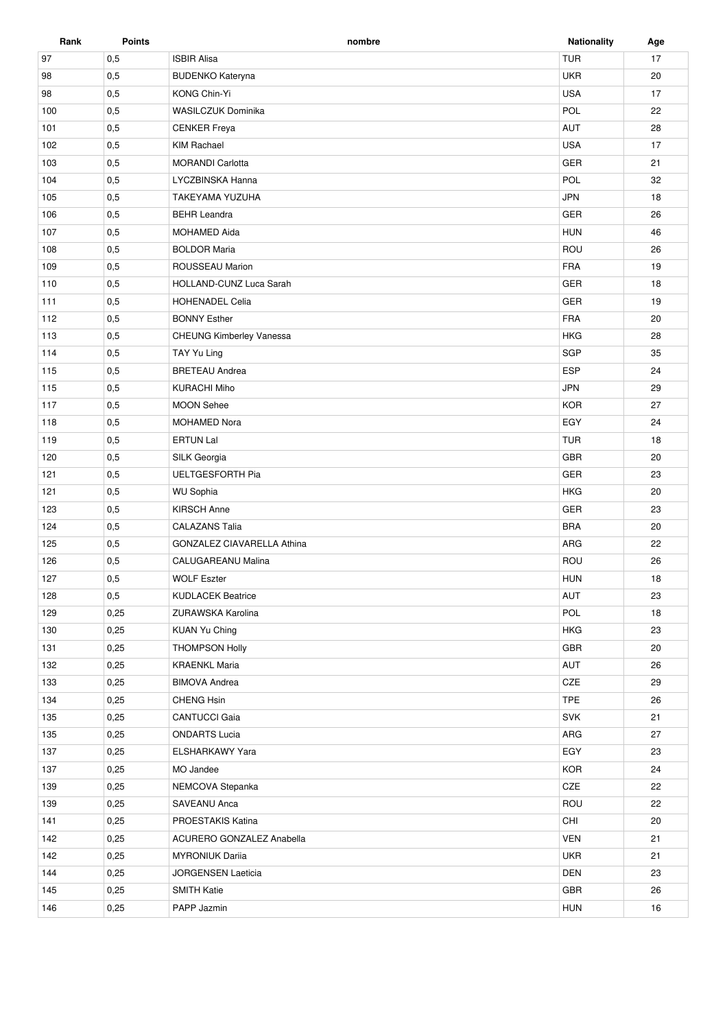| Rank | <b>Points</b> | nombre                     | <b>Nationality</b> | Age |
|------|---------------|----------------------------|--------------------|-----|
| 97   | 0,5           | <b>ISBIR Alisa</b>         | <b>TUR</b>         | 17  |
| 98   | 0,5           | <b>BUDENKO Kateryna</b>    | <b>UKR</b>         | 20  |
| 98   | 0,5           | KONG Chin-Yi               | <b>USA</b>         | 17  |
| 100  | 0,5           | <b>WASILCZUK Dominika</b>  | POL                | 22  |
| 101  | 0,5           | <b>CENKER Freya</b>        | <b>AUT</b>         | 28  |
| 102  | 0,5           | <b>KIM Rachael</b>         | <b>USA</b>         | 17  |
| 103  | 0,5           | <b>MORANDI Carlotta</b>    | <b>GER</b>         | 21  |
| 104  | 0,5           | LYCZBINSKA Hanna           | <b>POL</b>         | 32  |
| 105  | 0,5           | TAKEYAMA YUZUHA            | <b>JPN</b>         | 18  |
| 106  | 0,5           | <b>BEHR Leandra</b>        | <b>GER</b>         | 26  |
| 107  | 0,5           | <b>MOHAMED Aida</b>        | <b>HUN</b>         | 46  |
| 108  | 0,5           | <b>BOLDOR Maria</b>        | ROU                | 26  |
| 109  | 0,5           | ROUSSEAU Marion            | <b>FRA</b>         | 19  |
| 110  | 0,5           | HOLLAND-CUNZ Luca Sarah    | GER                | 18  |
| 111  | 0,5           | <b>HOHENADEL Celia</b>     | <b>GER</b>         | 19  |
| 112  | 0,5           | <b>BONNY Esther</b>        | <b>FRA</b>         | 20  |
| 113  | 0,5           | CHEUNG Kimberley Vanessa   | <b>HKG</b>         | 28  |
| 114  | 0,5           | TAY Yu Ling                | SGP                | 35  |
| 115  | 0,5           | <b>BRETEAU Andrea</b>      | <b>ESP</b>         | 24  |
| 115  | 0,5           | <b>KURACHI Miho</b>        | <b>JPN</b>         | 29  |
| 117  | 0,5           | <b>MOON Sehee</b>          | <b>KOR</b>         | 27  |
| 118  | 0,5           | <b>MOHAMED Nora</b>        | EGY                | 24  |
| 119  | 0,5           | <b>ERTUN Lal</b>           | <b>TUR</b>         | 18  |
| 120  | 0,5           | SILK Georgia               | <b>GBR</b>         | 20  |
| 121  | 0,5           | <b>UELTGESFORTH Pia</b>    | GER                | 23  |
| 121  | 0,5           | <b>WU Sophia</b>           | <b>HKG</b>         | 20  |
| 123  | 0,5           | <b>KIRSCH Anne</b>         | GER                | 23  |
| 124  | 0,5           | <b>CALAZANS Talia</b>      | <b>BRA</b>         | 20  |
| 125  | 0,5           | GONZALEZ CIAVARELLA Athina | ARG                | 22  |
| 126  | 0,5           | CALUGAREANU Malina         | ROU                | 26  |
| 127  | 0,5           | <b>WOLF Eszter</b>         | <b>HUN</b>         | 18  |
| 128  | 0,5           | <b>KUDLACEK Beatrice</b>   | AUT                | 23  |
| 129  | 0,25          | ZURAWSKA Karolina          | POL                | 18  |
| 130  | 0,25          | <b>KUAN Yu Ching</b>       | <b>HKG</b>         | 23  |
| 131  | 0,25          | <b>THOMPSON Holly</b>      | GBR                | 20  |
| 132  | 0,25          | <b>KRAENKL Maria</b>       | AUT                | 26  |
| 133  | 0,25          | <b>BIMOVA Andrea</b>       | CZE                | 29  |
| 134  | 0,25          | CHENG Hsin                 | <b>TPE</b>         | 26  |
| 135  | 0,25          | <b>CANTUCCI Gaia</b>       | SVK                | 21  |
| 135  | 0,25          | <b>ONDARTS Lucia</b>       | ARG                | 27  |
| 137  | 0,25          | ELSHARKAWY Yara            | EGY                | 23  |
| 137  | 0,25          | MO Jandee                  | <b>KOR</b>         | 24  |
| 139  | 0,25          | NEMCOVA Stepanka           | CZE                | 22  |
| 139  | 0,25          | SAVEANU Anca               | ROU                | 22  |
| 141  | 0,25          | PROESTAKIS Katina          | CHI                | 20  |
| 142  | 0,25          | ACURERO GONZALEZ Anabella  | <b>VEN</b>         | 21  |
| 142  | 0,25          | <b>MYRONIUK Darija</b>     | <b>UKR</b>         | 21  |
| 144  | 0,25          | JORGENSEN Laeticia         | <b>DEN</b>         | 23  |
| 145  | 0,25          | <b>SMITH Katie</b>         | GBR                | 26  |
| 146  | 0,25          | PAPP Jazmin                | <b>HUN</b>         | 16  |
|      |               |                            |                    |     |